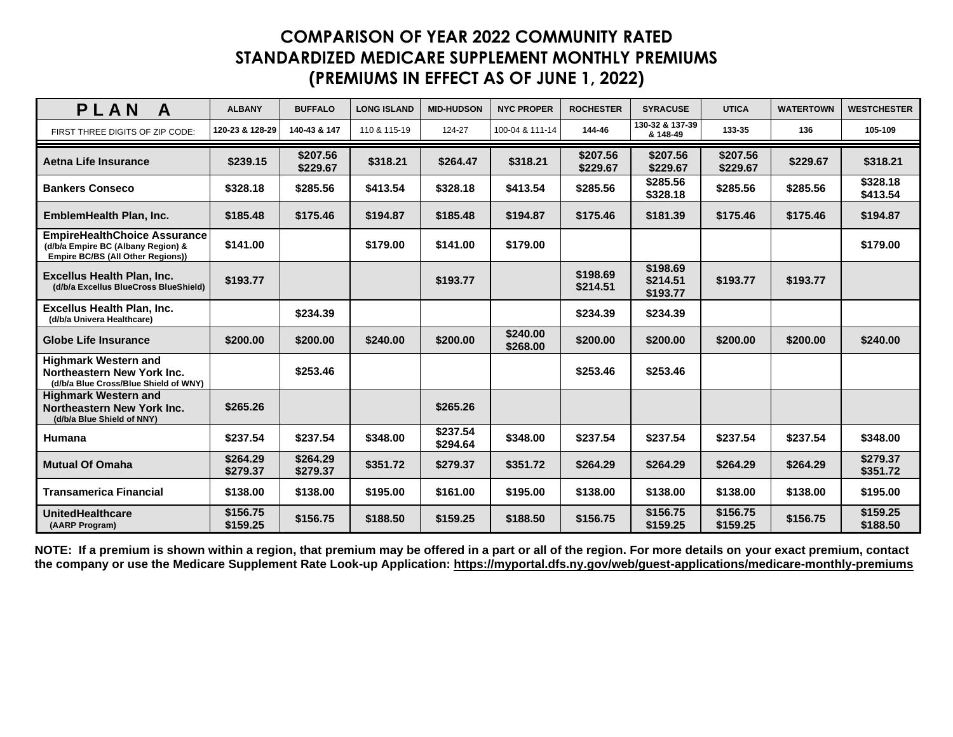| PLAN<br>A                                                                                                      | <b>ALBANY</b>        | <b>BUFFALO</b>       | <b>LONG ISLAND</b> | <b>MID-HUDSON</b>    | <b>NYC PROPER</b>    | <b>ROCHESTER</b>     | <b>SYRACUSE</b>                  | <b>UTICA</b>         | <b>WATERTOWN</b> | <b>WESTCHESTER</b>   |
|----------------------------------------------------------------------------------------------------------------|----------------------|----------------------|--------------------|----------------------|----------------------|----------------------|----------------------------------|----------------------|------------------|----------------------|
| FIRST THREE DIGITS OF ZIP CODE:                                                                                | 120-23 & 128-29      | 140-43 & 147         | 110 & 115-19       | 124-27               | 100-04 & 111-14      | 144-46               | 130-32 & 137-39<br>& 148-49      | 133-35               | 136              | 105-109              |
| Aetna Life Insurance                                                                                           | \$239.15             | \$207.56<br>\$229.67 | \$318.21           | \$264.47             | \$318.21             | \$207.56<br>\$229.67 | \$207.56<br>\$229.67             | \$207.56<br>\$229.67 | \$229.67         | \$318.21             |
| <b>Bankers Conseco</b>                                                                                         | \$328.18             | \$285.56             | \$413.54           | \$328.18             | \$413.54             | \$285.56             | \$285.56<br>\$328.18             | \$285.56             | \$285.56         | \$328.18<br>\$413.54 |
| EmblemHealth Plan, Inc.                                                                                        | \$185.48             | \$175.46             | \$194.87           | \$185.48             | \$194.87             | \$175.46             | \$181.39                         | \$175.46             | \$175.46         | \$194.87             |
| <b>EmpireHealthChoice Assurance</b><br>(d/b/a Empire BC (Albany Region) &<br>Empire BC/BS (All Other Regions)) | \$141.00             |                      | \$179.00           | \$141.00             | \$179.00             |                      |                                  |                      |                  | \$179.00             |
| <b>Excellus Health Plan, Inc.</b><br>(d/b/a Excellus BlueCross BlueShield)                                     | \$193.77             |                      |                    | \$193.77             |                      | \$198.69<br>\$214.51 | \$198.69<br>\$214.51<br>\$193.77 | \$193.77             | \$193.77         |                      |
| <b>Excellus Health Plan, Inc.</b><br>(d/b/a Univera Healthcare)                                                |                      | \$234.39             |                    |                      |                      | \$234.39             | \$234.39                         |                      |                  |                      |
| Globe Life Insurance                                                                                           | \$200.00             | \$200.00             | \$240.00           | \$200.00             | \$240.00<br>\$268.00 | \$200.00             | \$200.00                         | \$200.00             | \$200.00         | \$240.00             |
| <b>Highmark Western and</b><br>Northeastern New York Inc.<br>(d/b/a Blue Cross/Blue Shield of WNY)             |                      | \$253.46             |                    |                      |                      | \$253.46             | \$253.46                         |                      |                  |                      |
| <b>Highmark Western and</b><br>Northeastern New York Inc.<br>(d/b/a Blue Shield of NNY)                        | \$265.26             |                      |                    | \$265.26             |                      |                      |                                  |                      |                  |                      |
| Humana                                                                                                         | \$237.54             | \$237.54             | \$348.00           | \$237.54<br>\$294.64 | \$348.00             | \$237.54             | \$237.54                         | \$237.54             | \$237.54         | \$348.00             |
| <b>Mutual Of Omaha</b>                                                                                         | \$264.29<br>\$279.37 | \$264.29<br>\$279.37 | \$351.72           | \$279.37             | \$351.72             | \$264.29             | \$264.29                         | \$264.29             | \$264.29         | \$279.37<br>\$351.72 |
| <b>Transamerica Financial</b>                                                                                  | \$138.00             | \$138.00             | \$195.00           | \$161.00             | \$195.00             | \$138.00             | \$138.00                         | \$138.00             | \$138.00         | \$195.00             |
| <b>UnitedHealthcare</b><br>(AARP Program)                                                                      | \$156.75<br>\$159.25 | \$156.75             | \$188.50           | \$159.25             | \$188.50             | \$156.75             | \$156.75<br>\$159.25             | \$156.75<br>\$159.25 | \$156.75         | \$159.25<br>\$188.50 |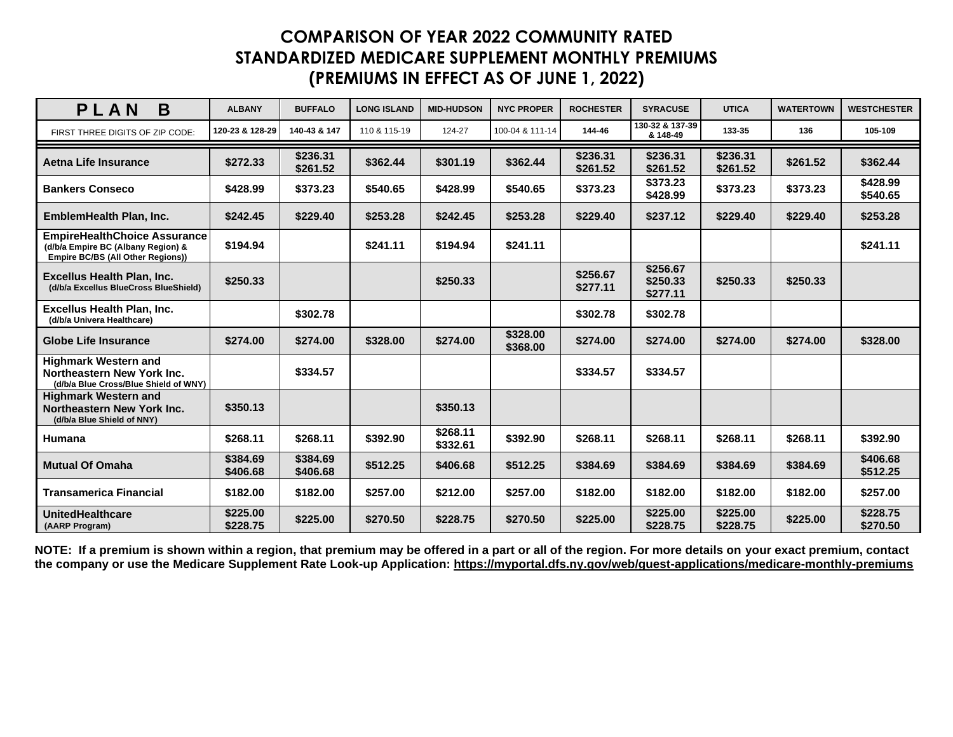| PLAN<br>B                                                                                                      | <b>ALBANY</b>        | <b>BUFFALO</b>       | <b>LONG ISLAND</b> | <b>MID-HUDSON</b>    | <b>NYC PROPER</b>    | <b>ROCHESTER</b>     | <b>SYRACUSE</b>                  | <b>UTICA</b>         | <b>WATERTOWN</b> | <b>WESTCHESTER</b>   |
|----------------------------------------------------------------------------------------------------------------|----------------------|----------------------|--------------------|----------------------|----------------------|----------------------|----------------------------------|----------------------|------------------|----------------------|
| FIRST THREE DIGITS OF ZIP CODE:                                                                                | 120-23 & 128-29      | 140-43 & 147         | 110 & 115-19       | 124-27               | 100-04 & 111-14      | 144-46               | 130-32 & 137-39<br>& 148-49      | 133-35               | 136              | 105-109              |
| Aetna Life Insurance                                                                                           | \$272.33             | \$236.31<br>\$261.52 | \$362.44           | \$301.19             | \$362.44             | \$236.31<br>\$261.52 | \$236.31<br>\$261.52             | \$236.31<br>\$261.52 | \$261.52         | \$362.44             |
| <b>Bankers Conseco</b>                                                                                         | \$428.99             | \$373.23             | \$540.65           | \$428.99             | \$540.65             | \$373.23             | \$373.23<br>\$428.99             | \$373.23             | \$373.23         | \$428.99<br>\$540.65 |
| EmblemHealth Plan, Inc.                                                                                        | \$242.45             | \$229.40             | \$253.28           | \$242.45             | \$253.28             | \$229.40             | \$237.12                         | \$229.40             | \$229.40         | \$253.28             |
| <b>EmpireHealthChoice Assurance</b><br>(d/b/a Empire BC (Albany Region) &<br>Empire BC/BS (All Other Regions)) | \$194.94             |                      | \$241.11           | \$194.94             | \$241.11             |                      |                                  |                      |                  | \$241.11             |
| <b>Excellus Health Plan, Inc.</b><br>(d/b/a Excellus BlueCross BlueShield)                                     | \$250.33             |                      |                    | \$250.33             |                      | \$256.67<br>\$277.11 | \$256.67<br>\$250.33<br>\$277.11 | \$250.33             | \$250.33         |                      |
| <b>Excellus Health Plan, Inc.</b><br>(d/b/a Univera Healthcare)                                                |                      | \$302.78             |                    |                      |                      | \$302.78             | \$302.78                         |                      |                  |                      |
| <b>Globe Life Insurance</b>                                                                                    | \$274.00             | \$274.00             | \$328.00           | \$274.00             | \$328.00<br>\$368.00 | \$274.00             | \$274.00                         | \$274.00             | \$274.00         | \$328.00             |
| <b>Highmark Western and</b><br>Northeastern New York Inc.<br>(d/b/a Blue Cross/Blue Shield of WNY)             |                      | \$334.57             |                    |                      |                      | \$334.57             | \$334.57                         |                      |                  |                      |
| <b>Highmark Western and</b><br>Northeastern New York Inc.<br>(d/b/a Blue Shield of NNY)                        | \$350.13             |                      |                    | \$350.13             |                      |                      |                                  |                      |                  |                      |
| <b>Humana</b>                                                                                                  | \$268.11             | \$268.11             | \$392.90           | \$268.11<br>\$332.61 | \$392.90             | \$268.11             | \$268.11                         | \$268.11             | \$268.11         | \$392.90             |
| <b>Mutual Of Omaha</b>                                                                                         | \$384.69<br>\$406.68 | \$384.69<br>\$406.68 | \$512.25           | \$406.68             | \$512.25             | \$384.69             | \$384.69                         | \$384.69             | \$384.69         | \$406.68<br>\$512.25 |
| <b>Transamerica Financial</b>                                                                                  | \$182.00             | \$182.00             | \$257.00           | \$212.00             | \$257.00             | \$182.00             | \$182.00                         | \$182.00             | \$182.00         | \$257.00             |
| <b>UnitedHealthcare</b><br>(AARP Program)                                                                      | \$225.00<br>\$228.75 | \$225.00             | \$270.50           | \$228.75             | \$270.50             | \$225.00             | \$225.00<br>\$228.75             | \$225.00<br>\$228.75 | \$225.00         | \$228.75<br>\$270.50 |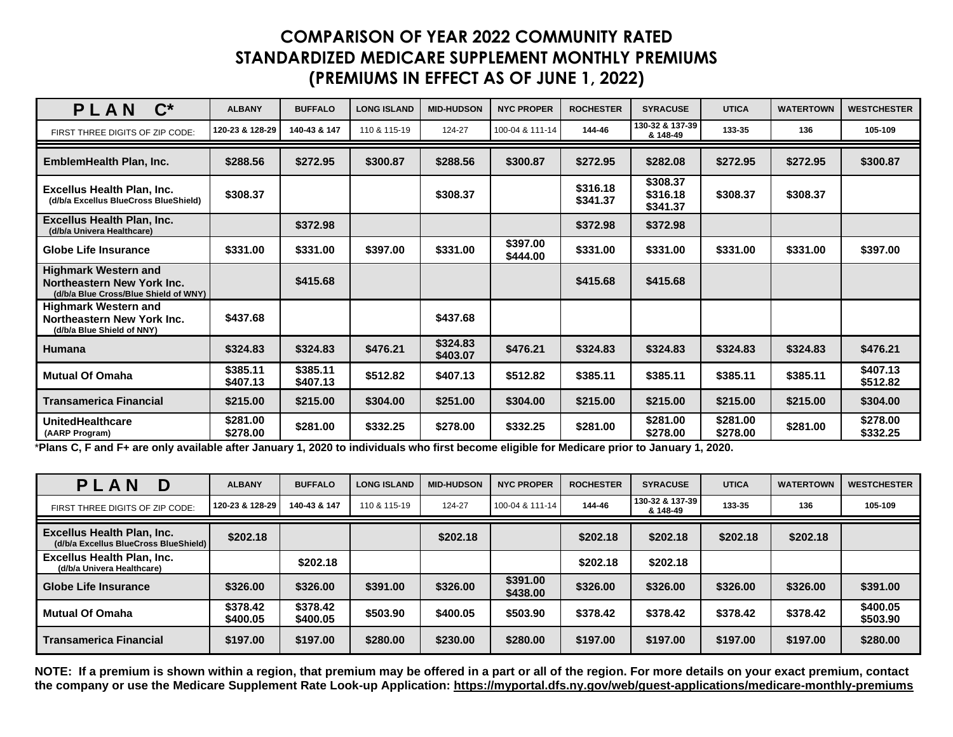| $\mathbf{C}^*$<br>PLAN                                                                             | <b>ALBANY</b>        | <b>BUFFALO</b>       | <b>LONG ISLAND</b> | <b>MID-HUDSON</b>    | <b>NYC PROPER</b>    | <b>ROCHESTER</b>     | <b>SYRACUSE</b>                  | <b>UTICA</b>         | <b>WATERTOWN</b> | <b>WESTCHESTER</b>   |
|----------------------------------------------------------------------------------------------------|----------------------|----------------------|--------------------|----------------------|----------------------|----------------------|----------------------------------|----------------------|------------------|----------------------|
| FIRST THREE DIGITS OF ZIP CODE:                                                                    | 120-23 & 128-29      | 140-43 & 147         | 110 & 115-19       | 124-27               | 100-04 & 111-14      | 144-46               | 130-32 & 137-39<br>& 148-49      | 133-35               | 136              | 105-109              |
| EmblemHealth Plan, Inc.                                                                            | \$288.56             | \$272.95             | \$300.87           | \$288.56             | \$300.87             | \$272.95             | \$282.08                         | \$272.95             | \$272.95         | \$300.87             |
| <b>Excellus Health Plan, Inc.</b><br>(d/b/a Excellus BlueCross BlueShield)                         | \$308.37             |                      |                    | \$308.37             |                      | \$316.18<br>\$341.37 | \$308.37<br>\$316.18<br>\$341.37 | \$308.37             | \$308.37         |                      |
| <b>Excellus Health Plan, Inc.</b><br>(d/b/a Univera Healthcare)                                    |                      | \$372.98             |                    |                      |                      | \$372.98             | \$372.98                         |                      |                  |                      |
| Globe Life Insurance                                                                               | \$331.00             | \$331.00             | \$397.00           | \$331.00             | \$397.00<br>\$444.00 | \$331.00             | \$331.00                         | \$331.00             | \$331.00         | \$397.00             |
| <b>Highmark Western and</b><br>Northeastern New York Inc.<br>(d/b/a Blue Cross/Blue Shield of WNY) |                      | \$415.68             |                    |                      |                      | \$415.68             | \$415.68                         |                      |                  |                      |
| <b>Highmark Western and</b><br>Northeastern New York Inc.<br>(d/b/a Blue Shield of NNY)            | \$437.68             |                      |                    | \$437.68             |                      |                      |                                  |                      |                  |                      |
| Humana                                                                                             | \$324.83             | \$324.83             | \$476.21           | \$324.83<br>\$403.07 | \$476.21             | \$324.83             | \$324.83                         | \$324.83             | \$324.83         | \$476.21             |
| <b>Mutual Of Omaha</b>                                                                             | \$385.11<br>\$407.13 | \$385.11<br>\$407.13 | \$512.82           | \$407.13             | \$512.82             | \$385.11             | \$385.11                         | \$385.11             | \$385.11         | \$407.13<br>\$512.82 |
| <b>Transamerica Financial</b>                                                                      | \$215.00             | \$215.00             | \$304.00           | \$251.00             | \$304.00             | \$215.00             | \$215.00                         | \$215.00             | \$215.00         | \$304.00             |
| UnitedHealthcare<br>(AARP Program)                                                                 | \$281.00<br>\$278.00 | \$281.00             | \$332.25           | \$278.00             | \$332.25             | \$281.00             | \$281.00<br>\$278.00             | \$281.00<br>\$278.00 | \$281.00         | \$278.00<br>\$332.25 |

\***Plans C, F and F+ are only available after January 1, 2020 to individuals who first become eligible for Medicare prior to January 1, 2020.**

| PLA<br>N<br>D                                                              | <b>ALBANY</b>        | <b>BUFFALO</b>       | <b>LONG ISLAND</b> | <b>MID-HUDSON</b> | <b>NYC PROPER</b>    | <b>ROCHESTER</b> | <b>SYRACUSE</b>             | <b>UTICA</b> | <b>WATERTOWN</b> | <b>WESTCHESTER</b>   |
|----------------------------------------------------------------------------|----------------------|----------------------|--------------------|-------------------|----------------------|------------------|-----------------------------|--------------|------------------|----------------------|
| FIRST THREE DIGITS OF ZIP CODE:                                            | 120-23 & 128-29      | 140-43 & 147         | 110 & 115-19       | 124-27            | 100-04 & 111-14      | 144-46           | 130-32 & 137-39<br>& 148-49 | 133-35       | 136              | 105-109              |
| <b>Excellus Health Plan, Inc.</b><br>(d/b/a Excellus BlueCross BlueShield) | \$202.18             |                      |                    | \$202.18          |                      | \$202.18         | \$202.18                    | \$202.18     | \$202.18         |                      |
| <b>Excellus Health Plan, Inc.</b><br>(d/b/a Univera Healthcare)            |                      | \$202.18             |                    |                   |                      | \$202.18         | \$202.18                    |              |                  |                      |
| Globe Life Insurance                                                       | \$326,00             | \$326.00             | \$391.00           | \$326.00          | \$391.00<br>\$438.00 | \$326.00         | \$326.00                    | \$326.00     | \$326.00         | \$391.00             |
| <b>Mutual Of Omaha</b>                                                     | \$378.42<br>\$400.05 | \$378.42<br>\$400.05 | \$503.90           | \$400.05          | \$503.90             | \$378.42         | \$378.42                    | \$378.42     | \$378.42         | \$400.05<br>\$503.90 |
| Transamerica Financial                                                     | \$197.00             | \$197.00             | \$280.00           | \$230.00          | \$280.00             | \$197.00         | \$197.00                    | \$197.00     | \$197.00         | \$280.00             |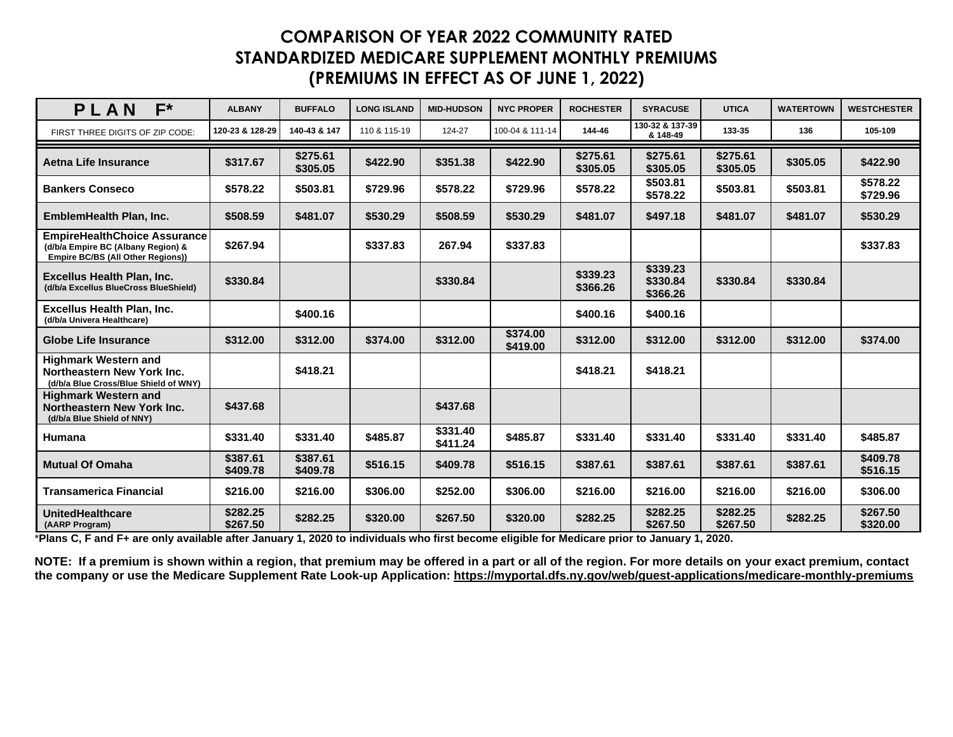| $F^*$<br>PLAN                                                                                                  | <b>ALBANY</b>        | <b>BUFFALO</b>       | <b>LONG ISLAND</b> | <b>MID-HUDSON</b>    | <b>NYC PROPER</b>    | <b>ROCHESTER</b>     | <b>SYRACUSE</b>                  | <b>UTICA</b>         | <b>WATERTOWN</b> | <b>WESTCHESTER</b>   |
|----------------------------------------------------------------------------------------------------------------|----------------------|----------------------|--------------------|----------------------|----------------------|----------------------|----------------------------------|----------------------|------------------|----------------------|
| FIRST THREE DIGITS OF ZIP CODE:                                                                                | 120-23 & 128-29      | 140-43 & 147         | 110 & 115-19       | 124-27               | 100-04 & 111-14      | 144-46               | 130-32 & 137-39<br>& 148-49      | 133-35               | 136              | 105-109              |
| <b>Aetna Life Insurance</b>                                                                                    | \$317.67             | \$275.61<br>\$305.05 | \$422.90           | \$351.38             | \$422.90             | \$275.61<br>\$305.05 | \$275.61<br>\$305.05             | \$275.61<br>\$305.05 | \$305.05         | \$422.90             |
| <b>Bankers Conseco</b>                                                                                         | \$578.22             | \$503.81             | \$729.96           | \$578.22             | \$729.96             | \$578.22             | \$503.81<br>\$578.22             | \$503.81             | \$503.81         | \$578.22<br>\$729.96 |
| EmblemHealth Plan, Inc.                                                                                        | \$508.59             | \$481.07             | \$530.29           | \$508.59             | \$530.29             | \$481.07             | \$497.18                         | \$481.07             | \$481.07         | \$530.29             |
| <b>EmpireHealthChoice Assurance</b><br>(d/b/a Empire BC (Albany Region) &<br>Empire BC/BS (All Other Regions)) | \$267.94             |                      | \$337.83           | 267.94               | \$337.83             |                      |                                  |                      |                  | \$337.83             |
| <b>Excellus Health Plan, Inc.</b><br>(d/b/a Excellus BlueCross BlueShield)                                     | \$330.84             |                      |                    | \$330.84             |                      | \$339.23<br>\$366.26 | \$339.23<br>\$330.84<br>\$366.26 | \$330.84             | \$330.84         |                      |
| <b>Excellus Health Plan, Inc.</b><br>(d/b/a Univera Healthcare)                                                |                      | \$400.16             |                    |                      |                      | \$400.16             | \$400.16                         |                      |                  |                      |
| Globe Life Insurance                                                                                           | \$312.00             | \$312.00             | \$374.00           | \$312.00             | \$374.00<br>\$419.00 | \$312.00             | \$312.00                         | \$312.00             | \$312.00         | \$374.00             |
| <b>Highmark Western and</b><br>Northeastern New York Inc.<br>(d/b/a Blue Cross/Blue Shield of WNY)             |                      | \$418.21             |                    |                      |                      | \$418.21             | \$418.21                         |                      |                  |                      |
| <b>Highmark Western and</b><br>Northeastern New York Inc.<br>(d/b/a Blue Shield of NNY)                        | \$437.68             |                      |                    | \$437.68             |                      |                      |                                  |                      |                  |                      |
| Humana                                                                                                         | \$331.40             | \$331.40             | \$485.87           | \$331.40<br>\$411.24 | \$485.87             | \$331.40             | \$331.40                         | \$331.40             | \$331.40         | \$485.87             |
| <b>Mutual Of Omaha</b>                                                                                         | \$387.61<br>\$409.78 | \$387.61<br>\$409.78 | \$516.15           | \$409.78             | \$516.15             | \$387.61             | \$387.61                         | \$387.61             | \$387.61         | \$409.78<br>\$516.15 |
| <b>Transamerica Financial</b>                                                                                  | \$216.00             | \$216.00             | \$306.00           | \$252.00             | \$306.00             | \$216.00             | \$216.00                         | \$216.00             | \$216.00         | \$306.00             |
| <b>UnitedHealthcare</b><br>(AARP Program)                                                                      | \$282.25<br>\$267.50 | \$282.25             | \$320.00           | \$267.50             | \$320.00             | \$282.25             | \$282.25<br>\$267.50             | \$282.25<br>\$267.50 | \$282.25         | \$267.50<br>\$320.00 |

\***Plans C, F and F+ are only available after January 1, 2020 to individuals who first become eligible for Medicare prior to January 1, 2020.**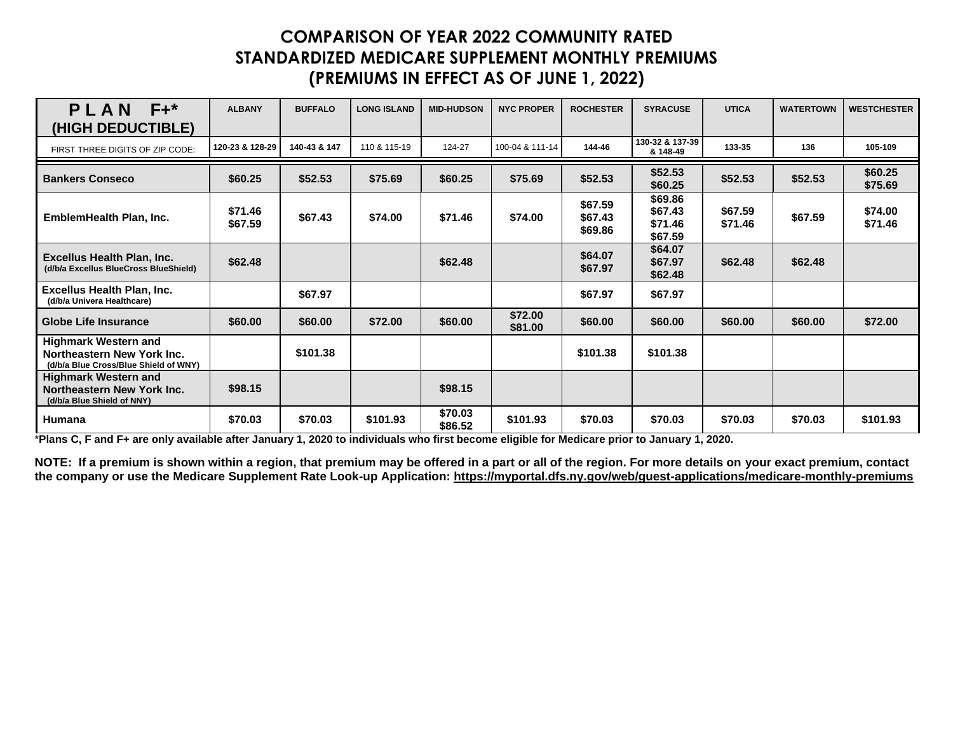| $F+^*$<br>PLAN<br><b>(HIGH DEDUCTIBLE)</b>                                                         | <b>ALBANY</b>      | <b>BUFFALO</b> | <b>LONG ISLAND</b> | <b>MID-HUDSON</b>  | <b>NYC PROPER</b>  | <b>ROCHESTER</b>              | <b>SYRACUSE</b>                          | <b>UTICA</b>       | <b>WATERTOWN</b> | <b>WESTCHESTER</b> |
|----------------------------------------------------------------------------------------------------|--------------------|----------------|--------------------|--------------------|--------------------|-------------------------------|------------------------------------------|--------------------|------------------|--------------------|
| FIRST THREE DIGITS OF ZIP CODE:                                                                    | 120-23 & 128-29    | 140-43 & 147   | 110 & 115-19       | 124-27             | 100-04 & 111-14    | 144-46                        | 130-32 & 137-39<br>& 148-49              | 133-35             | 136              | 105-109            |
| <b>Bankers Conseco</b>                                                                             | \$60.25            | \$52.53        | \$75.69            | \$60.25            | \$75.69            | \$52.53                       | \$52.53<br>\$60.25                       | \$52.53            | \$52.53          | \$60.25<br>\$75.69 |
| EmblemHealth Plan, Inc.                                                                            | \$71.46<br>\$67.59 | \$67.43        | \$74.00            | \$71.46            | \$74.00            | \$67.59<br>\$67.43<br>\$69.86 | \$69.86<br>\$67.43<br>\$71.46<br>\$67.59 | \$67.59<br>\$71.46 | \$67.59          | \$74.00<br>\$71.46 |
| <b>Excellus Health Plan, Inc.</b><br>(d/b/a Excellus BlueCross BlueShield)                         | \$62.48            |                |                    | \$62.48            |                    | \$64.07<br>\$67.97            | \$64.07<br>\$67.97<br>\$62.48            | \$62.48            | \$62.48          |                    |
| <b>Excellus Health Plan, Inc.</b><br>(d/b/a Univera Healthcare)                                    |                    | \$67.97        |                    |                    |                    | \$67.97                       | \$67.97                                  |                    |                  |                    |
| <b>Globe Life Insurance</b>                                                                        | \$60.00            | \$60.00        | \$72.00            | \$60.00            | \$72.00<br>\$81.00 | \$60.00                       | \$60.00                                  | \$60.00            | \$60.00          | \$72.00            |
| <b>Highmark Western and</b><br>Northeastern New York Inc.<br>(d/b/a Blue Cross/Blue Shield of WNY) |                    | \$101.38       |                    |                    |                    | \$101.38                      | \$101.38                                 |                    |                  |                    |
| <b>Highmark Western and</b><br>Northeastern New York Inc.<br>(d/b/a Blue Shield of NNY)            | \$98.15            |                |                    | \$98.15            |                    |                               |                                          |                    |                  |                    |
| Humana                                                                                             | \$70.03            | \$70.03        | \$101.93           | \$70.03<br>\$86.52 | \$101.93           | \$70.03                       | \$70.03                                  | \$70.03            | \$70.03          | \$101.93           |

\***Plans C, F and F+ are only available after January 1, 2020 to individuals who first become eligible for Medicare prior to January 1, 2020.**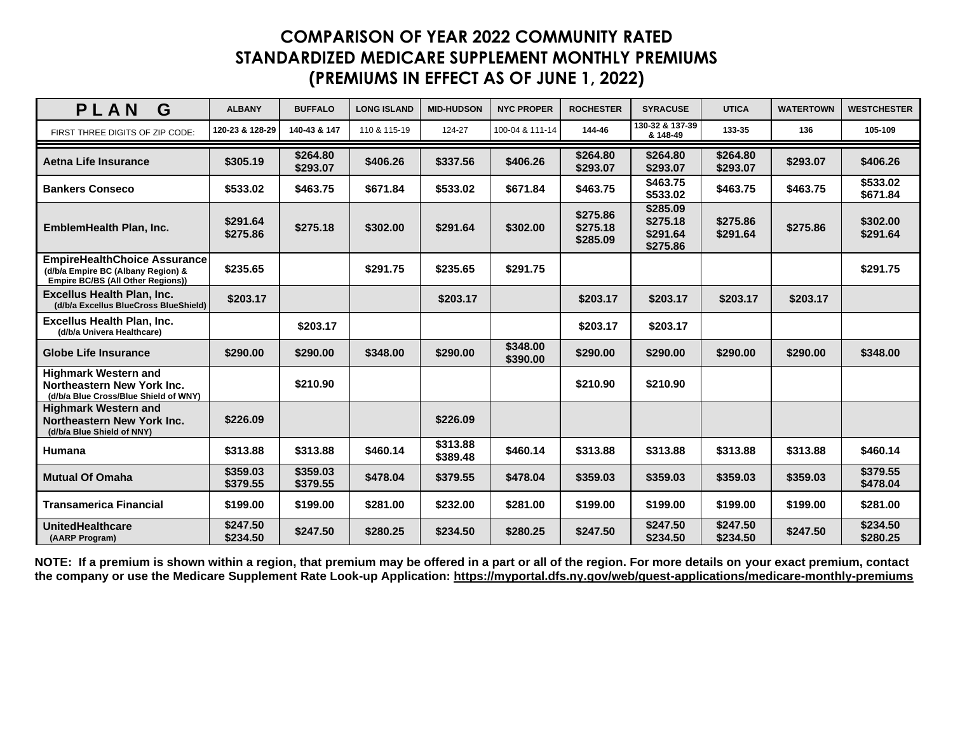| PLAN<br>G                                                                                                      | <b>ALBANY</b>        | <b>BUFFALO</b>       | <b>LONG ISLAND</b> | <b>MID-HUDSON</b>    | <b>NYC PROPER</b>    | <b>ROCHESTER</b>                 | <b>SYRACUSE</b>                              | <b>UTICA</b>         | <b>WATERTOWN</b> | <b>WESTCHESTER</b>   |
|----------------------------------------------------------------------------------------------------------------|----------------------|----------------------|--------------------|----------------------|----------------------|----------------------------------|----------------------------------------------|----------------------|------------------|----------------------|
| FIRST THREE DIGITS OF ZIP CODE:                                                                                | 120-23 & 128-29      | 140-43 & 147         | 110 & 115-19       | 124-27               | 100-04 & 111-14      | 144-46                           | 130-32 & 137-39<br>& 148-49                  | 133-35               | 136              | 105-109              |
| Aetna Life Insurance                                                                                           | \$305.19             | \$264.80<br>\$293.07 | \$406.26           | \$337.56             | \$406.26             | \$264.80<br>\$293.07             | \$264.80<br>\$293.07                         | \$264.80<br>\$293.07 | \$293.07         | \$406.26             |
| <b>Bankers Conseco</b>                                                                                         | \$533.02             | \$463.75             | \$671.84           | \$533.02             | \$671.84             | \$463.75                         | \$463.75<br>\$533.02                         | \$463.75             | \$463.75         | \$533.02<br>\$671.84 |
| <b>EmblemHealth Plan, Inc.</b>                                                                                 | \$291.64<br>\$275.86 | \$275.18             | \$302.00           | \$291.64             | \$302.00             | \$275.86<br>\$275.18<br>\$285.09 | \$285.09<br>\$275.18<br>\$291.64<br>\$275.86 | \$275.86<br>\$291.64 | \$275.86         | \$302.00<br>\$291.64 |
| <b>EmpireHealthChoice Assurance</b><br>(d/b/a Empire BC (Albany Region) &<br>Empire BC/BS (All Other Regions)) | \$235.65             |                      | \$291.75           | \$235.65             | \$291.75             |                                  |                                              |                      |                  | \$291.75             |
| <b>Excellus Health Plan, Inc.</b><br>(d/b/a Excellus BlueCross BlueShield)                                     | \$203.17             |                      |                    | \$203.17             |                      | \$203.17                         | \$203.17                                     | \$203.17             | \$203.17         |                      |
| <b>Excellus Health Plan, Inc.</b><br>(d/b/a Univera Healthcare)                                                |                      | \$203.17             |                    |                      |                      | \$203.17                         | \$203.17                                     |                      |                  |                      |
| <b>Globe Life Insurance</b>                                                                                    | \$290.00             | \$290.00             | \$348.00           | \$290.00             | \$348.00<br>\$390.00 | \$290.00                         | \$290.00                                     | \$290.00             | \$290.00         | \$348.00             |
| <b>Highmark Western and</b><br>Northeastern New York Inc.<br>(d/b/a Blue Cross/Blue Shield of WNY)             |                      | \$210.90             |                    |                      |                      | \$210.90                         | \$210.90                                     |                      |                  |                      |
| <b>Highmark Western and</b><br>Northeastern New York Inc.<br>(d/b/a Blue Shield of NNY)                        | \$226.09             |                      |                    | \$226.09             |                      |                                  |                                              |                      |                  |                      |
| Humana                                                                                                         | \$313.88             | \$313.88             | \$460.14           | \$313.88<br>\$389.48 | \$460.14             | \$313.88                         | \$313.88                                     | \$313.88             | \$313.88         | \$460.14             |
| <b>Mutual Of Omaha</b>                                                                                         | \$359.03<br>\$379.55 | \$359.03<br>\$379.55 | \$478.04           | \$379.55             | \$478.04             | \$359.03                         | \$359.03                                     | \$359.03             | \$359.03         | \$379.55<br>\$478.04 |
| <b>Transamerica Financial</b>                                                                                  | \$199.00             | \$199.00             | \$281.00           | \$232.00             | \$281.00             | \$199.00                         | \$199.00                                     | \$199.00             | \$199.00         | \$281.00             |
| <b>UnitedHealthcare</b><br>(AARP Program)                                                                      | \$247.50<br>\$234.50 | \$247.50             | \$280.25           | \$234.50             | \$280.25             | \$247.50                         | \$247.50<br>\$234.50                         | \$247.50<br>\$234.50 | \$247.50         | \$234.50<br>\$280.25 |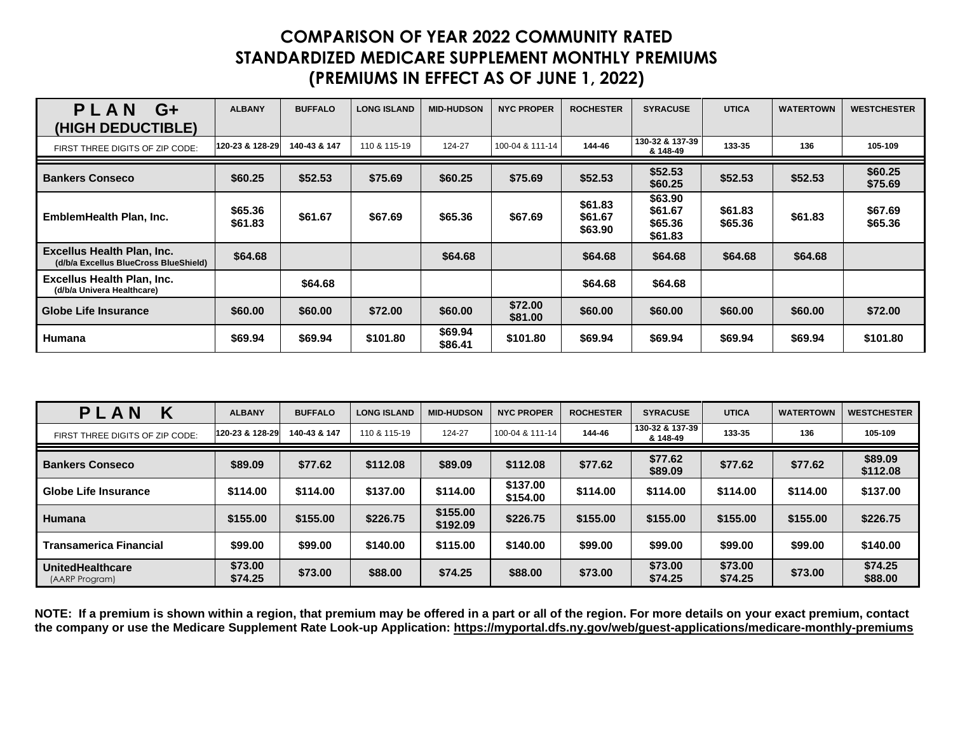| PLAN<br>G+<br>(HIGH DEDUCTIBLE)                                            | <b>ALBANY</b>      | <b>BUFFALO</b> | <b>LONG ISLAND</b> | <b>MID-HUDSON</b>  | <b>NYC PROPER</b>  | <b>ROCHESTER</b>              | <b>SYRACUSE</b>                          | <b>UTICA</b>       | <b>WATERTOWN</b> | <b>WESTCHESTER</b> |
|----------------------------------------------------------------------------|--------------------|----------------|--------------------|--------------------|--------------------|-------------------------------|------------------------------------------|--------------------|------------------|--------------------|
| FIRST THREE DIGITS OF ZIP CODE:                                            | 120-23 & 128-29    | 140-43 & 147   | 110 & 115-19       | 124-27             | 100-04 & 111-14    | 144-46                        | 130-32 & 137-39<br>& 148-49              | 133-35             | 136              | 105-109            |
| <b>Bankers Conseco</b>                                                     | \$60.25            | \$52.53        | \$75.69            | \$60.25            | \$75.69            | \$52.53                       | \$52.53<br>\$60.25                       | \$52.53            | \$52.53          | \$60.25<br>\$75.69 |
| EmblemHealth Plan, Inc.                                                    | \$65.36<br>\$61.83 | \$61.67        | \$67.69            | \$65.36            | \$67.69            | \$61.83<br>\$61.67<br>\$63.90 | \$63.90<br>\$61.67<br>\$65.36<br>\$61.83 | \$61.83<br>\$65.36 | \$61.83          | \$67.69<br>\$65.36 |
| <b>Excellus Health Plan, Inc.</b><br>(d/b/a Excellus BlueCross BlueShield) | \$64.68            |                |                    | \$64.68            |                    | \$64.68                       | \$64.68                                  | \$64.68            | \$64.68          |                    |
| <b>Excellus Health Plan, Inc.</b><br>(d/b/a Univera Healthcare)            |                    | \$64.68        |                    |                    |                    | \$64.68                       | \$64.68                                  |                    |                  |                    |
| Globe Life Insurance                                                       | \$60.00            | \$60.00        | \$72.00            | \$60.00            | \$72.00<br>\$81.00 | \$60.00                       | \$60.00                                  | \$60.00            | \$60.00          | \$72.00            |
| <b>Humana</b>                                                              | \$69.94            | \$69.94        | \$101.80           | \$69.94<br>\$86.41 | \$101.80           | \$69.94                       | \$69.94                                  | \$69.94            | \$69.94          | \$101.80           |

| PLA<br>Κ<br><b>N</b>                      | <b>ALBANY</b>      | <b>BUFFALO</b> | <b>LONG ISLAND</b> | <b>MID-HUDSON</b>    | <b>NYC PROPER</b>    | <b>ROCHESTER</b> | <b>SYRACUSE</b>             | <b>UTICA</b>       | <b>WATERTOWN</b> | <b>WESTCHESTER</b>  |
|-------------------------------------------|--------------------|----------------|--------------------|----------------------|----------------------|------------------|-----------------------------|--------------------|------------------|---------------------|
| FIRST THREE DIGITS OF ZIP CODE:           | 120-23 & 128-29    | 140-43 & 147   | 110 & 115-19       | 124-27               | 100-04 & 111-14      | 144-46           | 130-32 & 137-39<br>& 148-49 | 133-35             | 136              | 105-109             |
| <b>Bankers Conseco</b>                    | \$89.09            | \$77.62        | \$112.08           | \$89.09              | \$112.08             | \$77.62          | \$77.62<br>\$89.09          | \$77.62            | \$77.62          | \$89.09<br>\$112.08 |
| Globe Life Insurance                      | \$114.00           | \$114.00       | \$137.00           | \$114.00             | \$137.00<br>\$154.00 | \$114.00         | \$114.00                    | \$114.00           | \$114.00         | \$137.00            |
| Humana                                    | \$155.00           | \$155,00       | \$226.75           | \$155.00<br>\$192.09 | \$226.75             | \$155.00         | \$155.00                    | \$155.00           | \$155.00         | \$226.75            |
| Transamerica Financial                    | \$99.00            | \$99.00        | \$140.00           | \$115.00             | \$140.00             | \$99.00          | \$99.00                     | \$99.00            | \$99.00          | \$140.00            |
| <b>UnitedHealthcare</b><br>(AARP Program) | \$73.00<br>\$74.25 | \$73.00        | \$88,00            | \$74.25              | \$88.00              | \$73.00          | \$73.00<br>\$74.25          | \$73.00<br>\$74.25 | \$73.00          | \$74.25<br>\$88.00  |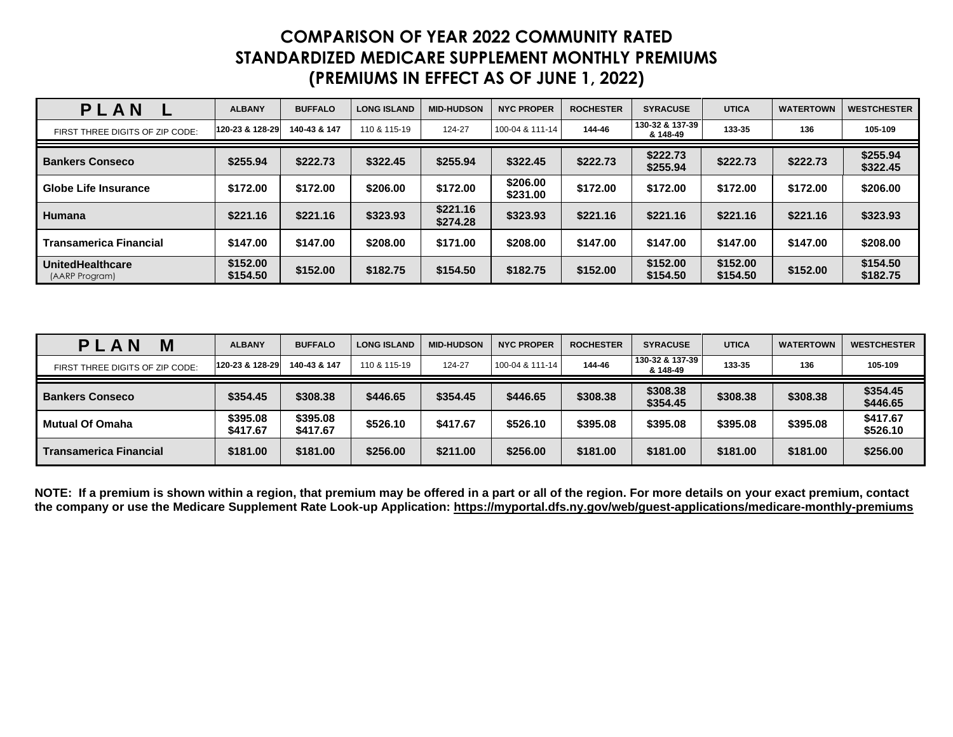| PLAN                                      | <b>ALBANY</b>        | <b>BUFFALO</b> | <b>LONG ISLAND</b> | <b>MID-HUDSON</b>    | <b>NYC PROPER</b>    | <b>ROCHESTER</b> | <b>SYRACUSE</b>             | <b>UTICA</b>         | <b>WATERTOWN</b> | <b>WESTCHESTER</b>   |
|-------------------------------------------|----------------------|----------------|--------------------|----------------------|----------------------|------------------|-----------------------------|----------------------|------------------|----------------------|
| FIRST THREE DIGITS OF ZIP CODE:           | 120-23 & 128-29      | 140-43 & 147   | 110 & 115-19       | 124-27               | 100-04 & 111-14      | 144-46           | 130-32 & 137-39<br>& 148-49 | 133-35               | 136              | 105-109              |
| <b>Bankers Conseco</b>                    | \$255.94             | \$222.73       | \$322.45           | \$255.94             | \$322.45             | \$222.73         | \$222.73<br>\$255.94        | \$222.73             | \$222.73         | \$255.94<br>\$322.45 |
| Globe Life Insurance                      | \$172.00             | \$172.00       | \$206.00           | \$172.00             | \$206.00<br>\$231.00 | \$172.00         | \$172.00                    | \$172.00             | \$172.00         | \$206.00             |
| Humana                                    | \$221.16             | \$221.16       | \$323.93           | \$221.16<br>\$274.28 | \$323.93             | \$221.16         | \$221.16                    | \$221.16             | \$221.16         | \$323.93             |
| <b>Transamerica Financial</b>             | \$147.00             | \$147.00       | \$208.00           | \$171.00             | \$208.00             | \$147.00         | \$147.00                    | \$147.00             | \$147.00         | \$208.00             |
| <b>UnitedHealthcare</b><br>(AARP Program) | \$152.00<br>\$154.50 | \$152.00       | \$182.75           | \$154.50             | \$182.75             | \$152.00         | \$152.00<br>\$154.50        | \$152.00<br>\$154.50 | \$152.00         | \$154.50<br>\$182.75 |

| Μ<br>$\mathbf N$<br>PLA         | <b>ALBANY</b>        | <b>BUFFALO</b>       | <b>LONG ISLAND</b> | <b>MID-HUDSON</b> | <b>NYC PROPER</b> | <b>ROCHESTER</b> | <b>SYRACUSE</b>             | <b>UTICA</b> | <b>WATERTOWN</b> | <b>WESTCHESTER</b>   |
|---------------------------------|----------------------|----------------------|--------------------|-------------------|-------------------|------------------|-----------------------------|--------------|------------------|----------------------|
| FIRST THREE DIGITS OF ZIP CODE: | 120-23 & 128-29      | 140-43 & 147         | 110 & 115-19       | 124-27            | 100-04 & 111-14   | 144-46           | 130-32 & 137-39<br>& 148-49 | 133-35       | 136              | 105-109              |
| <b>Bankers Conseco</b>          | \$354.45             | \$308.38             | \$446.65           | \$354.45          | \$446.65          | \$308.38         | \$308.38<br>\$354.45        | \$308.38     | \$308.38         | \$354.45<br>\$446.65 |
| <b>Mutual Of Omaha</b>          | \$395.08<br>\$417.67 | \$395.08<br>\$417.67 | \$526.10           | \$417.67          | \$526.10          | \$395.08         | \$395.08                    | \$395.08     | \$395.08         | \$417.67<br>\$526.10 |
| <b>Transamerica Financial</b>   | \$181.00             | \$181.00             | \$256.00           | \$211.00          | \$256.00          | \$181.00         | \$181.00                    | \$181.00     | \$181.00         | \$256.00             |